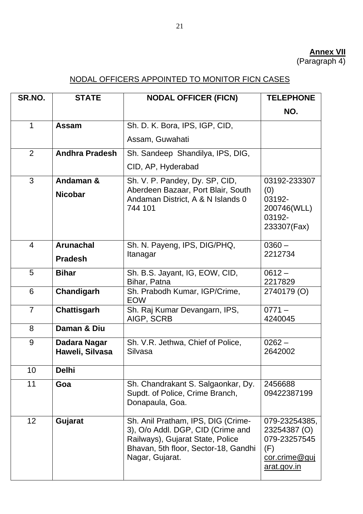## **Annex VII**

(Paragraph 4)

## NODAL OFFICERS APPOINTED TO MONITOR FICN CASES

| SR.NO.          | <b>STATE</b>                       | <b>NODAL OFFICER (FICN)</b>                                                                                                                                            | <b>TELEPHONE</b>                                                                     |
|-----------------|------------------------------------|------------------------------------------------------------------------------------------------------------------------------------------------------------------------|--------------------------------------------------------------------------------------|
|                 |                                    |                                                                                                                                                                        | NO.                                                                                  |
| $\mathbf 1$     | <b>Assam</b>                       | Sh. D. K. Bora, IPS, IGP, CID,                                                                                                                                         |                                                                                      |
|                 |                                    | Assam, Guwahati                                                                                                                                                        |                                                                                      |
| 2               | <b>Andhra Pradesh</b>              | Sh. Sandeep Shandilya, IPS, DIG,                                                                                                                                       |                                                                                      |
|                 |                                    | CID, AP, Hyderabad                                                                                                                                                     |                                                                                      |
| 3               | Andaman &<br><b>Nicobar</b>        | Sh. V. P. Pandey, Dy. SP, CID,<br>Aberdeen Bazaar, Port Blair, South<br>Andaman District, A & N Islands 0<br>744 101                                                   | 03192-233307<br>(0)<br>03192-<br>200746(WLL)<br>03192-<br>233307(Fax)                |
| $\overline{4}$  | <b>Arunachal</b><br><b>Pradesh</b> | Sh. N. Payeng, IPS, DIG/PHQ,<br>Itanagar                                                                                                                               | $0360 -$<br>2212734                                                                  |
| 5               | <b>Bihar</b>                       | Sh. B.S. Jayant, IG, EOW, CID,<br>Bihar, Patna                                                                                                                         | $0612 -$<br>2217829                                                                  |
| 6               | Chandigarh                         | Sh. Prabodh Kumar, IGP/Crime,<br><b>EOW</b>                                                                                                                            | 2740179 (O)                                                                          |
| $\overline{7}$  | <b>Chattisgarh</b>                 | Sh. Raj Kumar Devangarn, IPS,<br>AIGP, SCRB                                                                                                                            | $0771 -$<br>4240045                                                                  |
| 8               | Daman & Diu                        |                                                                                                                                                                        |                                                                                      |
| 9               | Dadara Nagar<br>Haweli, Silvasa    | Sh. V.R. Jethwa, Chief of Police,<br>Silvasa                                                                                                                           | $0262 -$<br>2642002                                                                  |
| 10              | <b>Delhi</b>                       |                                                                                                                                                                        |                                                                                      |
| 11              | Goa                                | Sh. Chandrakant S. Salgaonkar, Dy.<br>Supdt. of Police, Crime Branch,<br>Donapaula, Goa.                                                                               | 2456688<br>09422387199                                                               |
| 12 <sup>2</sup> | Gujarat                            | Sh. Anil Pratham, IPS, DIG (Crime-<br>3), O/o Addl. DGP, CID (Crime and<br>Railways), Gujarat State, Police<br>Bhavan, 5th floor, Sector-18, Gandhi<br>Nagar, Gujarat. | 079-23254385,<br>23254387 (O)<br>079-23257545<br>(F)<br>cor.crime@guj<br>arat.gov.in |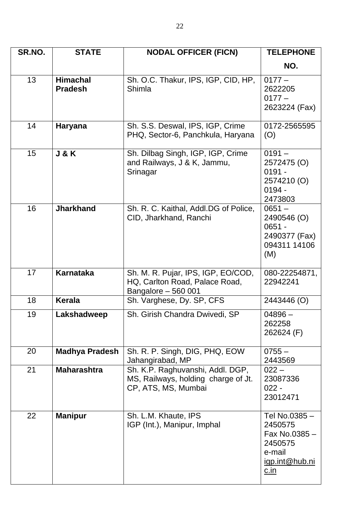| SR.NO. | <b>STATE</b>                      | <b>NODAL OFFICER (FICN)</b>                                                                    | <b>TELEPHONE</b>                                                                              |
|--------|-----------------------------------|------------------------------------------------------------------------------------------------|-----------------------------------------------------------------------------------------------|
|        |                                   |                                                                                                | NO.                                                                                           |
| 13     | <b>Himachal</b><br><b>Pradesh</b> | Sh. O.C. Thakur, IPS, IGP, CID, HP,<br>Shimla                                                  | $0177 -$<br>2622205<br>$0177 -$<br>2623224 (Fax)                                              |
| 14     | <b>Haryana</b>                    | Sh. S.S. Deswal, IPS, IGP, Crime<br>PHQ, Sector-6, Panchkula, Haryana                          | 0172-2565595<br>(O)                                                                           |
| 15     | <b>J&amp;K</b>                    | Sh. Dilbag Singh, IGP, IGP, Crime<br>and Railways, J & K, Jammu,<br>Srinagar                   | $0191 -$<br>2572475 (O)<br>$0191 -$<br>2574210 (O)<br>$0194 -$<br>2473803                     |
| 16     | <b>Jharkhand</b>                  | Sh. R. C. Kaithal, Addl.DG of Police,<br>CID, Jharkhand, Ranchi                                | $0651 -$<br>2490546 (O)<br>$0651 -$<br>2490377 (Fax)<br>094311 14106<br>(M)                   |
| 17     | <b>Karnataka</b>                  | Sh. M. R. Pujar, IPS, IGP, EO/COD,<br>HQ, Carlton Road, Palace Road,<br>Bangalore - 560 001    | 080-22254871,<br>22942241                                                                     |
| 18     | <b>Kerala</b>                     | Sh. Varghese, Dy. SP, CFS                                                                      | 2443446 (O)                                                                                   |
| 19     | Lakshadweep                       | Sh. Girish Chandra Dwivedi, SP                                                                 | $04896 -$<br>262258<br>262624 (F)                                                             |
| 20     | <b>Madhya Pradesh</b>             | Sh. R. P. Singh, DIG, PHQ, EOW<br>Jahangirabad, MP                                             | $0755 -$<br>2443569                                                                           |
| 21     | <b>Maharashtra</b>                | Sh. K.P. Raghuvanshi, Addl. DGP,<br>MS, Railways, holding charge of Jt.<br>CP, ATS, MS, Mumbai | $022 -$<br>23087336<br>$022 -$<br>23012471                                                    |
| 22     | <b>Manipur</b>                    | Sh. L.M. Khaute, IPS<br>IGP (Int.), Manipur, Imphal                                            | Tel No.0385-<br>2450575<br>Fax No.0385-<br>2450575<br>e-mail<br>igp.int@hub.ni<br><u>c.in</u> |